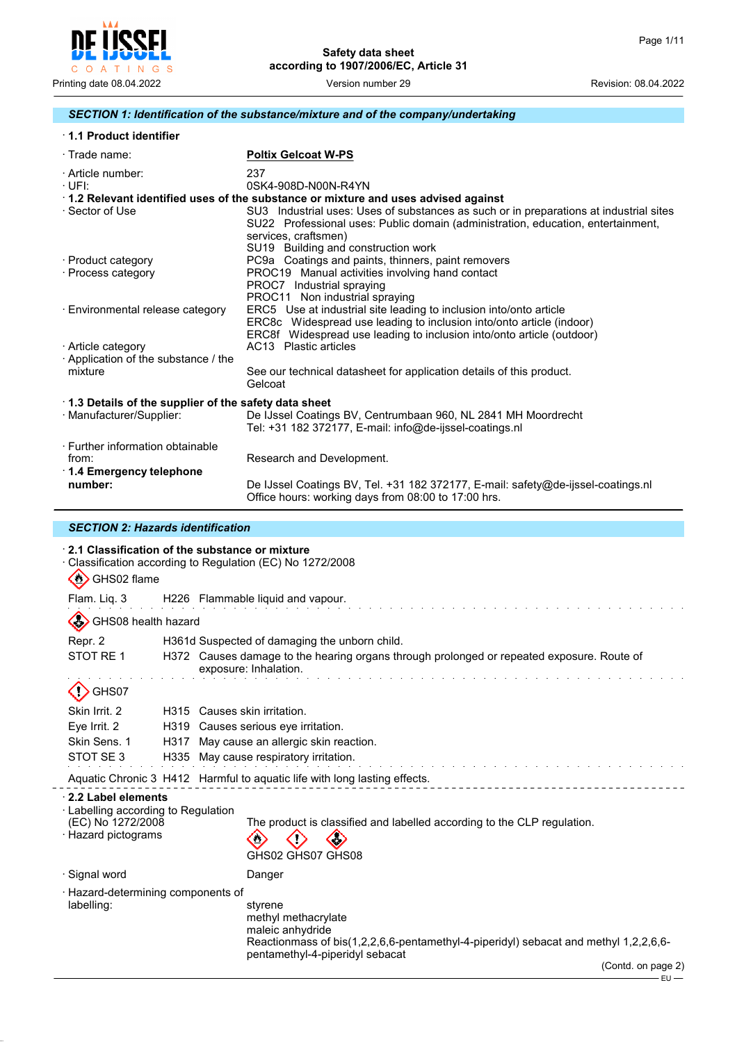$-$ EU $-$ 



## *SECTION 1: Identification of the substance/mixture and of the company/undertaking*

|  |  | 1.1 Product identifier |
|--|--|------------------------|
|--|--|------------------------|

| $\cdot$ Trade name:                                                    | <b>Poltix Gelcoat W-PS</b>                                                                                                                                                                                                                |
|------------------------------------------------------------------------|-------------------------------------------------------------------------------------------------------------------------------------------------------------------------------------------------------------------------------------------|
| · Article number:<br>$\cdot$ UFI:                                      | 237<br>0SK4-908D-N00N-R4YN                                                                                                                                                                                                                |
|                                                                        | 1.2 Relevant identified uses of the substance or mixture and uses advised against                                                                                                                                                         |
| · Sector of Use                                                        | SU3 Industrial uses: Uses of substances as such or in preparations at industrial sites<br>SU22 Professional uses: Public domain (administration, education, entertainment,<br>services, craftsmen)<br>SU19 Building and construction work |
| · Product category                                                     | PC9a Coatings and paints, thinners, paint removers                                                                                                                                                                                        |
| · Process category                                                     | PROC19 Manual activities involving hand contact<br>PROC7 Industrial spraying<br>PROC11 Non industrial spraying                                                                                                                            |
| · Environmental release category                                       | ERC5 Use at industrial site leading to inclusion into/onto article<br>ERC8c Widespread use leading to inclusion into/onto article (indoor)<br>ERC8f Widespread use leading to inclusion into/onto article (outdoor)                       |
| · Article category                                                     | AC13 Plastic articles                                                                                                                                                                                                                     |
| Application of the substance / the                                     |                                                                                                                                                                                                                                           |
| mixture                                                                | See our technical datasheet for application details of this product.<br>Gelcoat                                                                                                                                                           |
| 1.3 Details of the supplier of the safety data sheet                   |                                                                                                                                                                                                                                           |
| · Manufacturer/Supplier:                                               | De IJssel Coatings BV, Centrumbaan 960, NL 2841 MH Moordrecht<br>Tel: +31 182 372177, E-mail: info@de-ijssel-coatings.nl                                                                                                                  |
| · Further information obtainable<br>from:<br>⋅ 1.4 Emergency telephone | Research and Development.                                                                                                                                                                                                                 |
| number:                                                                | De IJssel Coatings BV, Tel. +31 182 372177, E-mail: safety@de-ijssel-coatings.nl<br>Office hours: working days from 08:00 to 17:00 hrs.                                                                                                   |

## *SECTION 2: Hazards identification*

| GHS02 flame<br>$\langle \mathbf{u} \rangle$                                                               |      | 2.1 Classification of the substance or mixture<br>Classification according to Regulation (EC) No 1272/2008                                                                                          |  |  |
|-----------------------------------------------------------------------------------------------------------|------|-----------------------------------------------------------------------------------------------------------------------------------------------------------------------------------------------------|--|--|
| Flam. Liq. 3                                                                                              |      | H226 Flammable liquid and vapour.                                                                                                                                                                   |  |  |
| GHS08 health hazard                                                                                       |      |                                                                                                                                                                                                     |  |  |
| Repr. 2<br>STOT RE 1                                                                                      |      | H361d Suspected of damaging the unborn child.                                                                                                                                                       |  |  |
|                                                                                                           |      | H372 Causes damage to the hearing organs through prolonged or repeated exposure. Route of<br>exposure: Inhalation.                                                                                  |  |  |
| GHS07                                                                                                     |      |                                                                                                                                                                                                     |  |  |
| Skin Irrit. 2                                                                                             |      | H315 Causes skin irritation.                                                                                                                                                                        |  |  |
| Eye Irrit. 2                                                                                              | H319 | Causes serious eye irritation.                                                                                                                                                                      |  |  |
| Skin Sens. 1                                                                                              | H317 | May cause an allergic skin reaction.                                                                                                                                                                |  |  |
| STOT SE 3                                                                                                 |      | H335 May cause respiratory irritation.                                                                                                                                                              |  |  |
|                                                                                                           |      | Aquatic Chronic 3 H412 Harmful to aquatic life with long lasting effects.                                                                                                                           |  |  |
| 2.2 Label elements<br>$\cdot$ Labelling according to Regulation<br>(EC) No 1272/2008<br>Hazard pictograms |      | The product is classified and labelled according to the CLP regulation.<br>GHS02 GHS07 GHS08                                                                                                        |  |  |
| · Signal word                                                                                             |      | Danger                                                                                                                                                                                              |  |  |
| · Hazard-determining components of<br>labelling:                                                          |      | styrene<br>methyl methacrylate<br>maleic anhydride<br>Reactionmass of bis(1,2,2,6,6-pentamethyl-4-piperidyl) sebacat and methyl 1,2,2,6,6-<br>pentamethyl-4-piperidyl sebacat<br>(Contd. on page 2) |  |  |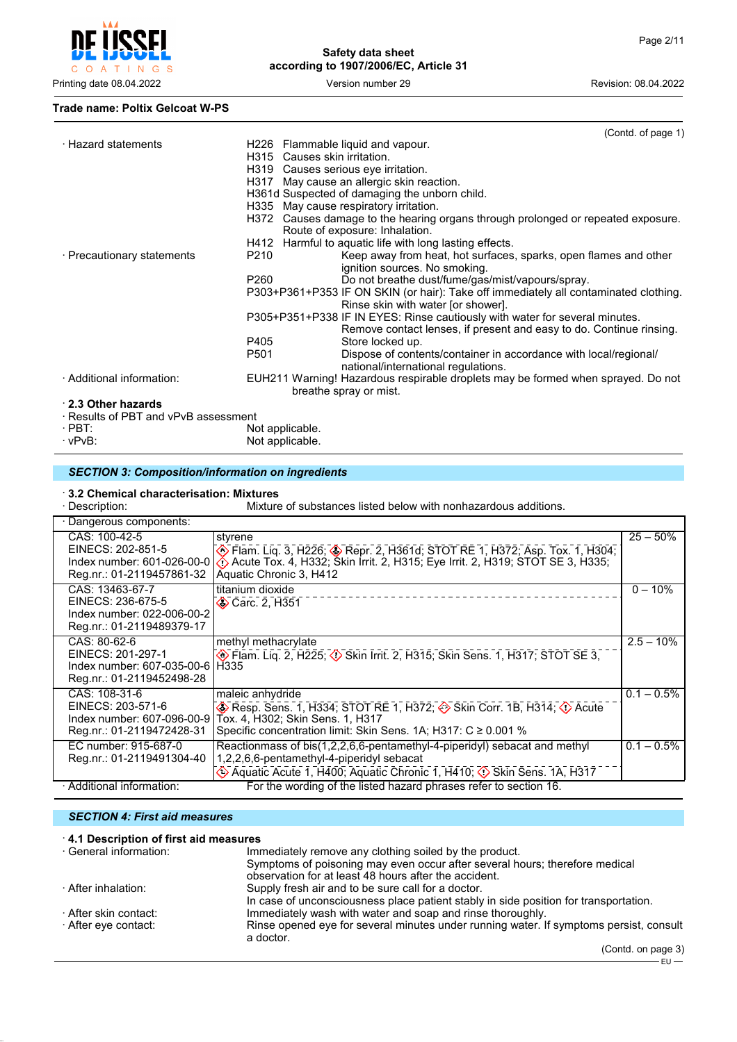

#### **Trade name: Poltix Gelcoat W-PS**

|                                      | (Contd. of page 1)                                                                                              |  |
|--------------------------------------|-----------------------------------------------------------------------------------------------------------------|--|
| · Hazard statements                  | H226 Flammable liquid and vapour.                                                                               |  |
|                                      | H315 Causes skin irritation.                                                                                    |  |
|                                      | H319 Causes serious eye irritation.                                                                             |  |
|                                      | H317 May cause an allergic skin reaction.                                                                       |  |
|                                      | H361d Suspected of damaging the unborn child.                                                                   |  |
|                                      | H335 May cause respiratory irritation.                                                                          |  |
|                                      | H372 Causes damage to the hearing organs through prolonged or repeated exposure.                                |  |
|                                      | Route of exposure: Inhalation.                                                                                  |  |
|                                      | H412 Harmful to aquatic life with long lasting effects.                                                         |  |
| · Precautionary statements           | P210<br>Keep away from heat, hot surfaces, sparks, open flames and other                                        |  |
|                                      | ignition sources. No smoking.                                                                                   |  |
|                                      | Do not breathe dust/fume/gas/mist/vapours/spray.<br>P260                                                        |  |
|                                      | P303+P361+P353 IF ON SKIN (or hair): Take off immediately all contaminated clothing.                            |  |
|                                      | Rinse skin with water [or shower].                                                                              |  |
|                                      | P305+P351+P338 IF IN EYES: Rinse cautiously with water for several minutes.                                     |  |
|                                      | Remove contact lenses, if present and easy to do. Continue rinsing.                                             |  |
|                                      | P405<br>Store locked up.                                                                                        |  |
|                                      | P501<br>Dispose of contents/container in accordance with local/regional/<br>national/international regulations. |  |
| · Additional information:            | EUH211 Warning! Hazardous respirable droplets may be formed when sprayed. Do not                                |  |
|                                      | breathe spray or mist.                                                                                          |  |
| 2.3 Other hazards                    |                                                                                                                 |  |
| · Results of PBT and vPvB assessment |                                                                                                                 |  |
| $\cdot$ PBT:                         | Not applicable.                                                                                                 |  |
| $\cdot$ vPvB:                        | Not applicable.                                                                                                 |  |
|                                      |                                                                                                                 |  |

## *SECTION 3: Composition/information on ingredients*

# · **3.2 Chemical characterisation: Mixtures**

Mixture of substances listed below with nonhazardous additions.

| Dangerous components:                                                                             |                                                                                                                                                                                                                                             |               |
|---------------------------------------------------------------------------------------------------|---------------------------------------------------------------------------------------------------------------------------------------------------------------------------------------------------------------------------------------------|---------------|
| CAS: 100-42-5<br>EINECS: 202-851-5                                                                | styrene                                                                                                                                                                                                                                     | $25 - 50%$    |
| Index number: 601-026-00-0<br>Reg.nr.: 01-2119457861-32                                           | . Tham. Liq. 3, H226; ◈ Repr. 2, H361d; STOT RE 1, H372; Asp. Tox. 1, H304;<br>ぐ) Acute Tox. 4, H332; Skin Irrit. 2, H315; Eye Irrit. 2, H319; STOT SE 3, H335;<br>Aquatic Chronic 3, H412                                                  |               |
| CAS: 13463-67-7<br>EINECS: 236-675-5<br>Index number: 022-006-00-2<br>Reg.nr.: 01-2119489379-17   | titanium dioxide<br><b>◆ Carc. 2, H351</b>                                                                                                                                                                                                  | $0 - 10%$     |
| CAS: 80-62-6<br>EINECS: 201-297-1<br>Index number: 607-035-00-6 H335<br>Reg.nr.: 01-2119452498-28 | methyl methacrylate<br>Flam. Lig. 2, H225; $\Diamond$ Skin Irrit. 2, H315; Skin Sens. 1, H317; STOT SE 3,                                                                                                                                   | $2.5 - 10\%$  |
| CAS: 108-31-6<br>EINECS: 203-571-6<br>Index number: 607-096-00-9<br>Reg.nr.: 01-2119472428-31     | maleic anhydride<br><b>A</b> Resp. Sens. 1, H334; STOT RE 1, H372; $\leftrightarrow$ Skin Corr. 1B, H314; $\leftrightarrow$ Acute<br>Tox. 4, H302; Skin Sens. 1, H317<br>Specific concentration limit: Skin Sens. 1A; H317: $C \ge 0.001$ % | $0.1 - 0.5\%$ |
| EC number: 915-687-0<br>Reg.nr.: 01-2119491304-40                                                 | Reactionmass of bis(1,2,2,6,6-pentamethyl-4-piperidyl) sebacat and methyl<br>1,2,2,6,6-pentamethyl-4-piperidyl sebacat<br>Aquatic Acute 1, H400; Aquatic Chronic 1, H410; $\circled{}$ Skin Sens. 1A, H317                                  | $0.1 - 0.5\%$ |
| · Additional information:                                                                         | For the wording of the listed hazard phrases refer to section 16.                                                                                                                                                                           |               |

## *SECTION 4: First aid measures*

| 4.1 Description of first aid measures |                                                                                                     |
|---------------------------------------|-----------------------------------------------------------------------------------------------------|
| ⋅ General information:                | Immediately remove any clothing soiled by the product.                                              |
|                                       | Symptoms of poisoning may even occur after several hours; therefore medical                         |
|                                       | observation for at least 48 hours after the accident.                                               |
| · After inhalation:                   | Supply fresh air and to be sure call for a doctor.                                                  |
|                                       | In case of unconsciousness place patient stably in side position for transportation.                |
| ⋅ After skin contact:                 | Immediately wash with water and soap and rinse thoroughly.                                          |
| · After eγe contact:                  | Rinse opened eye for several minutes under running water. If symptoms persist, consult<br>a doctor. |
|                                       | (Contd. on page 3)                                                                                  |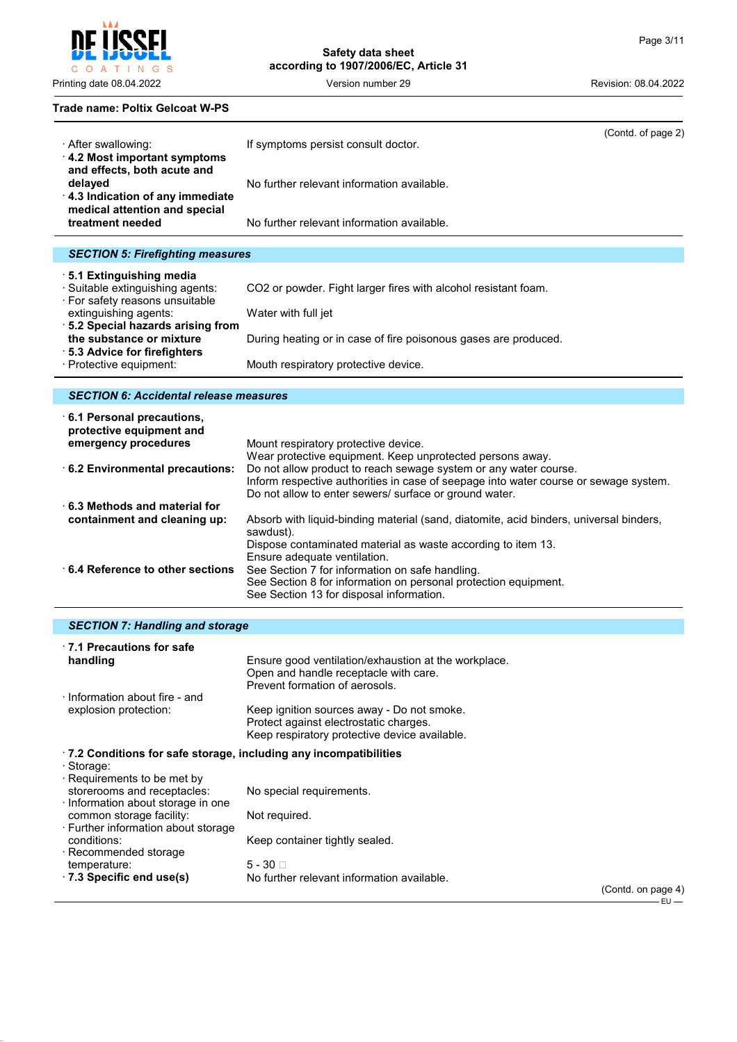$4)$ 

 $\mathsf{C}$  $O$  A  $\top$ INGS

**Safety data sheet according to 1907/2006/EC, Article 31**

Printing date 08.04.2022 **Version number 29** Version number 29 Revision: 08.04.2022

## **Trade name: Poltix Gelcoat W-PS**

| · After swallowing:<br>4.2 Most important symptoms                                                         | If symptoms persist consult doctor.                             | (Contd. of page 2) |
|------------------------------------------------------------------------------------------------------------|-----------------------------------------------------------------|--------------------|
| and effects, both acute and<br>delayed<br>4.3 Indication of any immediate<br>medical attention and special | No further relevant information available.                      |                    |
| treatment needed                                                                                           | No further relevant information available.                      |                    |
|                                                                                                            |                                                                 |                    |
| <b>SECTION 5: Firefighting measures</b>                                                                    |                                                                 |                    |
| ⋅5.1 Extinguishing media<br>· Suitable extinguishing agents:<br>· For safety reasons unsuitable            | CO2 or powder. Fight larger fires with alcohol resistant foam.  |                    |
| extinguishing agents:                                                                                      | Water with full jet                                             |                    |
| ⋅ 5.2 Special hazards arising from                                                                         |                                                                 |                    |
| the substance or mixture                                                                                   | During heating or in case of fire poisonous gases are produced. |                    |
| $\cdot$ 5.3 Advice for firefighters.                                                                       |                                                                 |                    |

· Protective equipment: Mouth respiratory protective device.

## *SECTION 6: Accidental release measures*

| $\cdot$ 6.1 Personal precautions,<br>protective equipment and |                                                                                                                    |
|---------------------------------------------------------------|--------------------------------------------------------------------------------------------------------------------|
| emergency procedures                                          | Mount respiratory protective device.                                                                               |
|                                                               | Wear protective equipment. Keep unprotected persons away.                                                          |
| 6.2 Environmental precautions:                                | Do not allow product to reach sewage system or any water course.                                                   |
|                                                               | Inform respective authorities in case of seepage into water course or sewage system.                               |
|                                                               | Do not allow to enter sewers/ surface or ground water.                                                             |
| $\cdot$ 6.3 Methods and material for                          |                                                                                                                    |
| containment and cleaning up:                                  | Absorb with liquid-binding material (sand, diatomite, acid binders, universal binders,<br>sawdust).                |
|                                                               | Dispose contaminated material as waste according to item 13.                                                       |
|                                                               | Ensure adequate ventilation.                                                                                       |
| 6.4 Reference to other sections                               | See Section 7 for information on safe handling.<br>See Section 8 for information on personal protection equipment. |
|                                                               | See Section 13 for disposal information.                                                                           |

## *SECTION 7: Handling and storage*

| ⋅7.1 Precautions for safe                                                |                                                                                                                                       |                 |
|--------------------------------------------------------------------------|---------------------------------------------------------------------------------------------------------------------------------------|-----------------|
| handling                                                                 | Ensure good ventilation/exhaustion at the workplace.<br>Open and handle receptacle with care.<br>Prevent formation of aerosols.       |                 |
| Information about fire - and<br>explosion protection:                    | Keep ignition sources away - Do not smoke.<br>Protect against electrostatic charges.<br>Keep respiratory protective device available. |                 |
| $\cdot$ 7.2 Conditions for safe storage, including any incompatibilities |                                                                                                                                       |                 |
| · Storage:<br>$\cdot$ Requirements to be met by                          |                                                                                                                                       |                 |
| storerooms and receptacles:<br>· Information about storage in one        | No special requirements.                                                                                                              |                 |
| common storage facility:<br>⋅ Further information about storage          | Not required.                                                                                                                         |                 |
| conditions:<br>$\cdot$ Recommended storage.                              | Keep container tightly sealed.                                                                                                        |                 |
| temperature:                                                             | $5 - 30$ $\Box$                                                                                                                       |                 |
| $\cdot$ 7.3 Specific end use(s)                                          | No further relevant information available.                                                                                            | (Contd. on page |
|                                                                          |                                                                                                                                       | - EU            |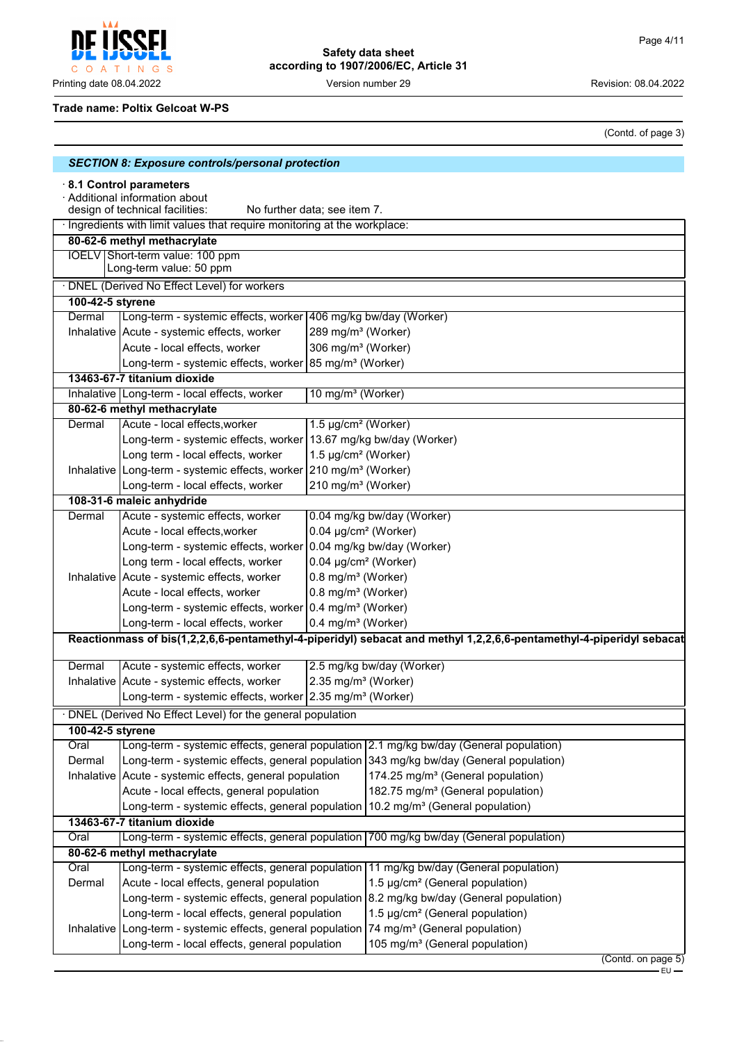Printing date 08.04.2022 **Version number 29** Version 29 Revision: 08.04.2022

#### **Trade name: Poltix Gelcoat W-PS**

C O A T I N G S

POFI

Į

(Contd. of page 3)

|                                                                                                                             | <b>SECTION 8: Exposure controls/personal protection</b>                                               |                                  |                                                                                                                     |                    |
|-----------------------------------------------------------------------------------------------------------------------------|-------------------------------------------------------------------------------------------------------|----------------------------------|---------------------------------------------------------------------------------------------------------------------|--------------------|
| 8.1 Control parameters<br>· Additional information about<br>design of technical facilities:<br>No further data; see item 7. |                                                                                                       |                                  |                                                                                                                     |                    |
|                                                                                                                             | · Ingredients with limit values that require monitoring at the workplace:                             |                                  |                                                                                                                     |                    |
|                                                                                                                             | 80-62-6 methyl methacrylate                                                                           |                                  |                                                                                                                     |                    |
|                                                                                                                             | IOELV Short-term value: 100 ppm<br>Long-term value: 50 ppm                                            |                                  |                                                                                                                     |                    |
|                                                                                                                             | · DNEL (Derived No Effect Level) for workers                                                          |                                  |                                                                                                                     |                    |
| 100-42-5 styrene                                                                                                            |                                                                                                       |                                  |                                                                                                                     |                    |
| Dermal                                                                                                                      | Long-term - systemic effects, worker 406 mg/kg bw/day (Worker)                                        |                                  |                                                                                                                     |                    |
|                                                                                                                             | Inhalative   Acute - systemic effects, worker                                                         | 289 mg/m <sup>3</sup> (Worker)   |                                                                                                                     |                    |
|                                                                                                                             | Acute - local effects, worker                                                                         | 306 mg/m <sup>3</sup> (Worker)   |                                                                                                                     |                    |
|                                                                                                                             | Long-term - systemic effects, worker 85 mg/m <sup>3</sup> (Worker)                                    |                                  |                                                                                                                     |                    |
|                                                                                                                             | 13463-67-7 titanium dioxide                                                                           |                                  |                                                                                                                     |                    |
|                                                                                                                             | Inhalative Long-term - local effects, worker                                                          | 10 mg/m <sup>3</sup> (Worker)    |                                                                                                                     |                    |
|                                                                                                                             | 80-62-6 methyl methacrylate                                                                           |                                  |                                                                                                                     |                    |
| Dermal                                                                                                                      | Acute - local effects, worker                                                                         | 1.5 µg/cm <sup>2</sup> (Worker)  |                                                                                                                     |                    |
|                                                                                                                             | Long-term - systemic effects, worker 13.67 mg/kg bw/day (Worker)                                      |                                  |                                                                                                                     |                    |
|                                                                                                                             | Long term - local effects, worker                                                                     | 1.5 µg/cm <sup>2</sup> (Worker)  |                                                                                                                     |                    |
|                                                                                                                             | Inhalative Long-term - systemic effects, worker 210 mg/m <sup>3</sup> (Worker)                        |                                  |                                                                                                                     |                    |
|                                                                                                                             | Long-term - local effects, worker                                                                     | 210 mg/m <sup>3</sup> (Worker)   |                                                                                                                     |                    |
|                                                                                                                             | 108-31-6 maleic anhydride                                                                             |                                  |                                                                                                                     |                    |
| Dermal                                                                                                                      | Acute - systemic effects, worker                                                                      |                                  | 0.04 mg/kg bw/day (Worker)                                                                                          |                    |
|                                                                                                                             | Acute - local effects, worker                                                                         | 0.04 µg/cm <sup>2</sup> (Worker) |                                                                                                                     |                    |
|                                                                                                                             | Long-term - systemic effects, worker 0.04 mg/kg bw/day (Worker)                                       |                                  |                                                                                                                     |                    |
|                                                                                                                             | Long term - local effects, worker<br>0.04 µg/cm <sup>2</sup> (Worker)                                 |                                  |                                                                                                                     |                    |
|                                                                                                                             | Inhalative Acute - systemic effects, worker                                                           | 0.8 mg/m <sup>3</sup> (Worker)   |                                                                                                                     |                    |
|                                                                                                                             | Acute - local effects, worker                                                                         | 0.8 mg/m <sup>3</sup> (Worker)   |                                                                                                                     |                    |
|                                                                                                                             | Long-term - systemic effects, worker 0.4 mg/m <sup>3</sup> (Worker)                                   |                                  |                                                                                                                     |                    |
|                                                                                                                             | Long-term - local effects, worker                                                                     | 0.4 mg/m <sup>3</sup> (Worker)   |                                                                                                                     |                    |
|                                                                                                                             |                                                                                                       |                                  | Reactionmass of bis(1,2,2,6,6-pentamethyl-4-piperidyl) sebacat and methyl 1,2,2,6,6-pentamethyl-4-piperidyl sebacat |                    |
|                                                                                                                             |                                                                                                       |                                  |                                                                                                                     |                    |
| Dermal                                                                                                                      | Acute - systemic effects, worker                                                                      |                                  | 2.5 mg/kg bw/day (Worker)                                                                                           |                    |
|                                                                                                                             | Inhalative   Acute - systemic effects, worker                                                         | 2.35 mg/m <sup>3</sup> (Worker)  |                                                                                                                     |                    |
|                                                                                                                             | Long-term - systemic effects, worker 2.35 mg/m <sup>3</sup> (Worker)                                  |                                  |                                                                                                                     |                    |
|                                                                                                                             | DNEL (Derived No Effect Level) for the general population                                             |                                  |                                                                                                                     |                    |
| 100-42-5 styrene                                                                                                            |                                                                                                       |                                  |                                                                                                                     |                    |
| Oral                                                                                                                        |                                                                                                       |                                  | Long-term - systemic effects, general population 2.1 mg/kg bw/day (General population)                              |                    |
| Dermal                                                                                                                      |                                                                                                       |                                  | Long-term - systemic effects, general population 343 mg/kg bw/day (General population)                              |                    |
|                                                                                                                             | Inhalative Acute - systemic effects, general population                                               |                                  | 174.25 mg/m <sup>3</sup> (General population)                                                                       |                    |
|                                                                                                                             | Acute - local effects, general population                                                             |                                  | 182.75 mg/m <sup>3</sup> (General population)                                                                       |                    |
|                                                                                                                             | Long-term - systemic effects, general population $10.2$ mg/m <sup>3</sup> (General population)        |                                  |                                                                                                                     |                    |
|                                                                                                                             | 13463-67-7 titanium dioxide                                                                           |                                  |                                                                                                                     |                    |
| Oral                                                                                                                        |                                                                                                       |                                  | Long-term - systemic effects, general population 700 mg/kg bw/day (General population)                              |                    |
|                                                                                                                             | 80-62-6 methyl methacrylate                                                                           |                                  |                                                                                                                     |                    |
| Oral                                                                                                                        |                                                                                                       |                                  | Long-term - systemic effects, general population 11 mg/kg bw/day (General population)                               |                    |
| Dermal                                                                                                                      | Acute - local effects, general population                                                             |                                  | 1.5 µg/cm <sup>2</sup> (General population)                                                                         |                    |
|                                                                                                                             |                                                                                                       |                                  | Long-term - systemic effects, general population 8.2 mg/kg bw/day (General population)                              |                    |
|                                                                                                                             | Long-term - local effects, general population                                                         |                                  | 1.5 µg/cm <sup>2</sup> (General population)                                                                         |                    |
|                                                                                                                             | Inhalative Long-term - systemic effects, general population 74 mg/m <sup>3</sup> (General population) |                                  |                                                                                                                     |                    |
|                                                                                                                             | Long-term - local effects, general population                                                         |                                  | 105 mg/m <sup>3</sup> (General population)                                                                          |                    |
|                                                                                                                             |                                                                                                       |                                  |                                                                                                                     | (Contd. on page 5) |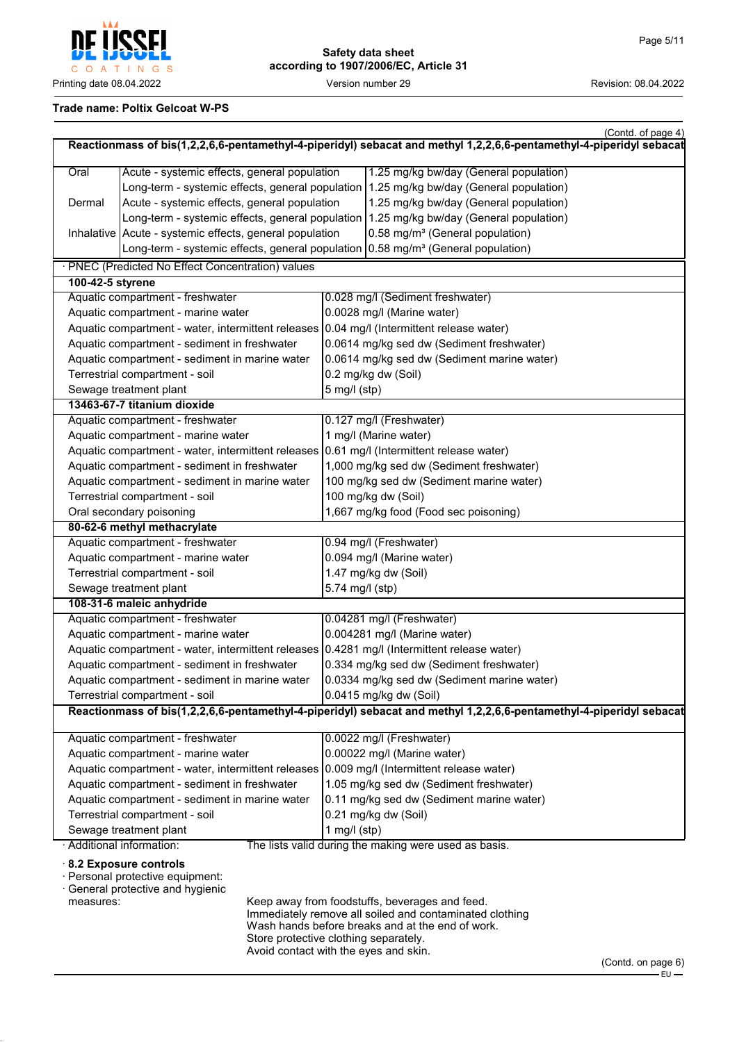

## **Trade name: Poltix Gelcoat W-PS**

| Oral<br>Dermal                                 | Acute - systemic effects, general population<br>Long-term - systemic effects, general population<br>Acute - systemic effects, general population<br>Long-term - systemic effects, general population |                        | Reactionmass of bis(1,2,2,6,6-pentamethyl-4-piperidyl) sebacat and methyl 1,2,2,6,6-pentamethyl-4-piperidyl sebacat<br>1.25 mg/kg bw/day (General population) |  |
|------------------------------------------------|------------------------------------------------------------------------------------------------------------------------------------------------------------------------------------------------------|------------------------|---------------------------------------------------------------------------------------------------------------------------------------------------------------|--|
|                                                |                                                                                                                                                                                                      |                        |                                                                                                                                                               |  |
|                                                |                                                                                                                                                                                                      |                        |                                                                                                                                                               |  |
|                                                |                                                                                                                                                                                                      |                        | 1.25 mg/kg bw/day (General population)                                                                                                                        |  |
|                                                |                                                                                                                                                                                                      |                        | 1.25 mg/kg bw/day (General population)                                                                                                                        |  |
|                                                |                                                                                                                                                                                                      |                        | 1.25 mg/kg bw/day (General population)                                                                                                                        |  |
|                                                | Inhalative   Acute - systemic effects, general population                                                                                                                                            |                        | 0.58 mg/m <sup>3</sup> (General population)                                                                                                                   |  |
|                                                | Long-term - systemic effects, general population                                                                                                                                                     |                        | 0.58 mg/m <sup>3</sup> (General population)                                                                                                                   |  |
|                                                | · PNEC (Predicted No Effect Concentration) values                                                                                                                                                    |                        |                                                                                                                                                               |  |
| 100-42-5 styrene                               |                                                                                                                                                                                                      |                        |                                                                                                                                                               |  |
|                                                | Aquatic compartment - freshwater                                                                                                                                                                     |                        | 0.028 mg/l (Sediment freshwater)                                                                                                                              |  |
|                                                | Aquatic compartment - marine water                                                                                                                                                                   |                        | 0.0028 mg/l (Marine water)                                                                                                                                    |  |
|                                                | Aquatic compartment - water, intermittent releases                                                                                                                                                   |                        | 0.04 mg/l (Intermittent release water)                                                                                                                        |  |
|                                                | Aquatic compartment - sediment in freshwater                                                                                                                                                         |                        | 0.0614 mg/kg sed dw (Sediment freshwater)                                                                                                                     |  |
|                                                | Aquatic compartment - sediment in marine water                                                                                                                                                       |                        | 0.0614 mg/kg sed dw (Sediment marine water)                                                                                                                   |  |
|                                                | Terrestrial compartment - soil                                                                                                                                                                       |                        | 0.2 mg/kg dw (Soil)                                                                                                                                           |  |
|                                                | Sewage treatment plant                                                                                                                                                                               | $5$ mg/l (stp)         |                                                                                                                                                               |  |
|                                                | 13463-67-7 titanium dioxide                                                                                                                                                                          |                        |                                                                                                                                                               |  |
|                                                | Aquatic compartment - freshwater                                                                                                                                                                     |                        | 0.127 mg/l (Freshwater)                                                                                                                                       |  |
|                                                | Aquatic compartment - marine water                                                                                                                                                                   |                        | 1 mg/l (Marine water)                                                                                                                                         |  |
|                                                | Aquatic compartment - water, intermittent releases   0.61 mg/l (Intermittent release water)                                                                                                          |                        |                                                                                                                                                               |  |
|                                                | Aquatic compartment - sediment in freshwater                                                                                                                                                         |                        | 1,000 mg/kg sed dw (Sediment freshwater)                                                                                                                      |  |
|                                                | Aquatic compartment - sediment in marine water                                                                                                                                                       |                        | 100 mg/kg sed dw (Sediment marine water)                                                                                                                      |  |
|                                                | Terrestrial compartment - soil                                                                                                                                                                       |                        | 100 mg/kg dw (Soil)                                                                                                                                           |  |
|                                                | Oral secondary poisoning                                                                                                                                                                             |                        | 1,667 mg/kg food (Food sec poisoning)                                                                                                                         |  |
|                                                | 80-62-6 methyl methacrylate                                                                                                                                                                          |                        |                                                                                                                                                               |  |
|                                                | Aquatic compartment - freshwater                                                                                                                                                                     |                        | 0.94 mg/l (Freshwater)                                                                                                                                        |  |
|                                                | Aquatic compartment - marine water                                                                                                                                                                   |                        | 0.094 mg/l (Marine water)                                                                                                                                     |  |
|                                                | Terrestrial compartment - soil                                                                                                                                                                       |                        | 1.47 mg/kg dw (Soil)                                                                                                                                          |  |
|                                                | Sewage treatment plant                                                                                                                                                                               | 5.74 mg/l (stp)        |                                                                                                                                                               |  |
|                                                | 108-31-6 maleic anhydride                                                                                                                                                                            |                        |                                                                                                                                                               |  |
|                                                | Aquatic compartment - freshwater                                                                                                                                                                     |                        | 0.04281 mg/l (Freshwater)                                                                                                                                     |  |
|                                                | Aquatic compartment - marine water                                                                                                                                                                   |                        | 0.004281 mg/l (Marine water)                                                                                                                                  |  |
|                                                | Aquatic compartment - water, intermittent releases 0.4281 mg/l (Intermittent release water)                                                                                                          |                        |                                                                                                                                                               |  |
|                                                | Aquatic compartment - sediment in freshwater                                                                                                                                                         |                        | 0.334 mg/kg sed dw (Sediment freshwater)                                                                                                                      |  |
|                                                | Aquatic compartment - sediment in marine water                                                                                                                                                       |                        | 0.0334 mg/kg sed dw (Sediment marine water)                                                                                                                   |  |
|                                                | Terrestrial compartment - soil                                                                                                                                                                       | 0.0415 mg/kg dw (Soil) |                                                                                                                                                               |  |
|                                                |                                                                                                                                                                                                      |                        | Reactionmass of bis(1,2,2,6,6-pentamethyl-4-piperidyl) sebacat and methyl 1,2,2,6,6-pentamethyl-4-piperidyl sebacat                                           |  |
|                                                |                                                                                                                                                                                                      |                        |                                                                                                                                                               |  |
|                                                | Aquatic compartment - freshwater                                                                                                                                                                     |                        | 0.0022 mg/l (Freshwater)                                                                                                                                      |  |
|                                                | Aquatic compartment - marine water                                                                                                                                                                   |                        | 0.00022 mg/l (Marine water)                                                                                                                                   |  |
|                                                | Aquatic compartment - water, intermittent releases 0.009 mg/l (Intermittent release water)                                                                                                           |                        |                                                                                                                                                               |  |
|                                                | Aquatic compartment - sediment in freshwater                                                                                                                                                         |                        | 1.05 mg/kg sed dw (Sediment freshwater)                                                                                                                       |  |
| Aquatic compartment - sediment in marine water |                                                                                                                                                                                                      |                        | 0.11 mg/kg sed dw (Sediment marine water)                                                                                                                     |  |
| Terrestrial compartment - soil                 |                                                                                                                                                                                                      |                        | 0.21 mg/kg dw (Soil)                                                                                                                                          |  |
| Sewage treatment plant                         |                                                                                                                                                                                                      | 1 mg/l $(stp)$         |                                                                                                                                                               |  |
|                                                | · Additional information:                                                                                                                                                                            |                        | The lists valid during the making were used as basis.                                                                                                         |  |
| measures:                                      | 8.2 Exposure controls<br>· Personal protective equipment:<br>· General protective and hygienic                                                                                                       |                        | Keep away from foodstuffs, beverages and feed.<br>Immediately remove all soiled and contaminated clothing<br>Wash hands before breaks and at the end of work. |  |

Store protective clothing separately. Avoid contact with the eyes and skin.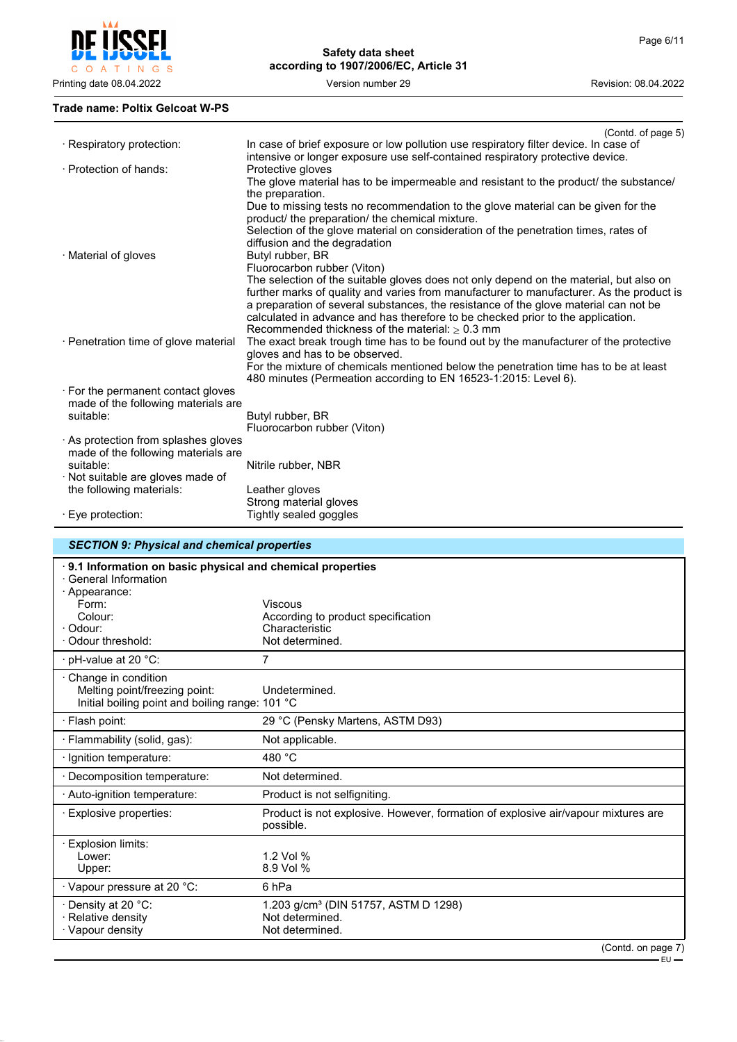

## **Trade name: Poltix Gelcoat W-PS**

|                                      | (Contd. of page 5)                                                                       |
|--------------------------------------|------------------------------------------------------------------------------------------|
| · Respiratory protection:            | In case of brief exposure or low pollution use respiratory filter device. In case of     |
|                                      | intensive or longer exposure use self-contained respiratory protective device.           |
| · Protection of hands:               | Protective gloves                                                                        |
|                                      | The glove material has to be impermeable and resistant to the product/ the substance/    |
|                                      | the preparation.                                                                         |
|                                      | Due to missing tests no recommendation to the glove material can be given for the        |
|                                      | product/ the preparation/ the chemical mixture.                                          |
|                                      | Selection of the glove material on consideration of the penetration times, rates of      |
|                                      | diffusion and the degradation                                                            |
| · Material of gloves                 | Butyl rubber, BR                                                                         |
|                                      | Fluorocarbon rubber (Viton)                                                              |
|                                      | The selection of the suitable gloves does not only depend on the material, but also on   |
|                                      | further marks of quality and varies from manufacturer to manufacturer. As the product is |
|                                      | a preparation of several substances, the resistance of the glove material can not be     |
|                                      | calculated in advance and has therefore to be checked prior to the application.          |
|                                      | Recommended thickness of the material: $> 0.3$ mm                                        |
| · Penetration time of glove material | The exact break trough time has to be found out by the manufacturer of the protective    |
|                                      | gloves and has to be observed.                                                           |
|                                      | For the mixture of chemicals mentioned below the penetration time has to be at least     |
|                                      | 480 minutes (Permeation according to EN 16523-1:2015: Level 6).                          |
| . For the permanent contact gloves   |                                                                                          |
| made of the following materials are  |                                                                                          |
| suitable:                            | Butyl rubber, BR                                                                         |
|                                      | Fluorocarbon rubber (Viton)                                                              |
| As protection from splashes gloves   |                                                                                          |
| made of the following materials are  |                                                                                          |
| suitable:                            | Nitrile rubber, NBR                                                                      |
| · Not suitable are gloves made of    |                                                                                          |
| the following materials:             | Leather gloves                                                                           |
|                                      | Strong material gloves                                                                   |
| $\cdot$ Eye protection:              | Tightly sealed goggles                                                                   |
|                                      |                                                                                          |

# *SECTION 9: Physical and chemical properties*

| 9.1 Information on basic physical and chemical properties<br>· General Information                              |                                                                                                |
|-----------------------------------------------------------------------------------------------------------------|------------------------------------------------------------------------------------------------|
| · Appearance:<br>Form:                                                                                          | <b>Viscous</b>                                                                                 |
| Colour:                                                                                                         | According to product specification                                                             |
| · Odour:                                                                                                        | Characteristic                                                                                 |
| · Odour threshold:                                                                                              | Not determined.                                                                                |
| $\cdot$ pH-value at 20 $^{\circ}$ C:                                                                            | 7                                                                                              |
| $\cdot$ Change in condition<br>Melting point/freezing point:<br>Initial boiling point and boiling range: 101 °C | Undetermined.                                                                                  |
| · Flash point:                                                                                                  | 29 °C (Pensky Martens, ASTM D93)                                                               |
| · Flammability (solid, gas):                                                                                    | Not applicable.                                                                                |
| · Ignition temperature:                                                                                         | 480 $^{\circ}$ C                                                                               |
| · Decomposition temperature:                                                                                    | Not determined.                                                                                |
| · Auto-ignition temperature:                                                                                    | Product is not selfigniting.                                                                   |
| · Explosive properties:                                                                                         | Product is not explosive. However, formation of explosive air/vapour mixtures are<br>possible. |
| · Explosion limits:                                                                                             |                                                                                                |
| l ower:                                                                                                         | 1.2 Vol %                                                                                      |
| Upper:                                                                                                          | 8.9 Vol %                                                                                      |
| · Vapour pressure at 20 °C:                                                                                     | 6 <sub>hPa</sub>                                                                               |
| · Density at 20 °C:                                                                                             | 1.203 g/cm <sup>3</sup> (DIN 51757, ASTM D 1298)                                               |
| · Relative density                                                                                              | Not determined.                                                                                |
| · Vapour density                                                                                                | Not determined.                                                                                |
|                                                                                                                 | (Contd. on page 7)                                                                             |

EU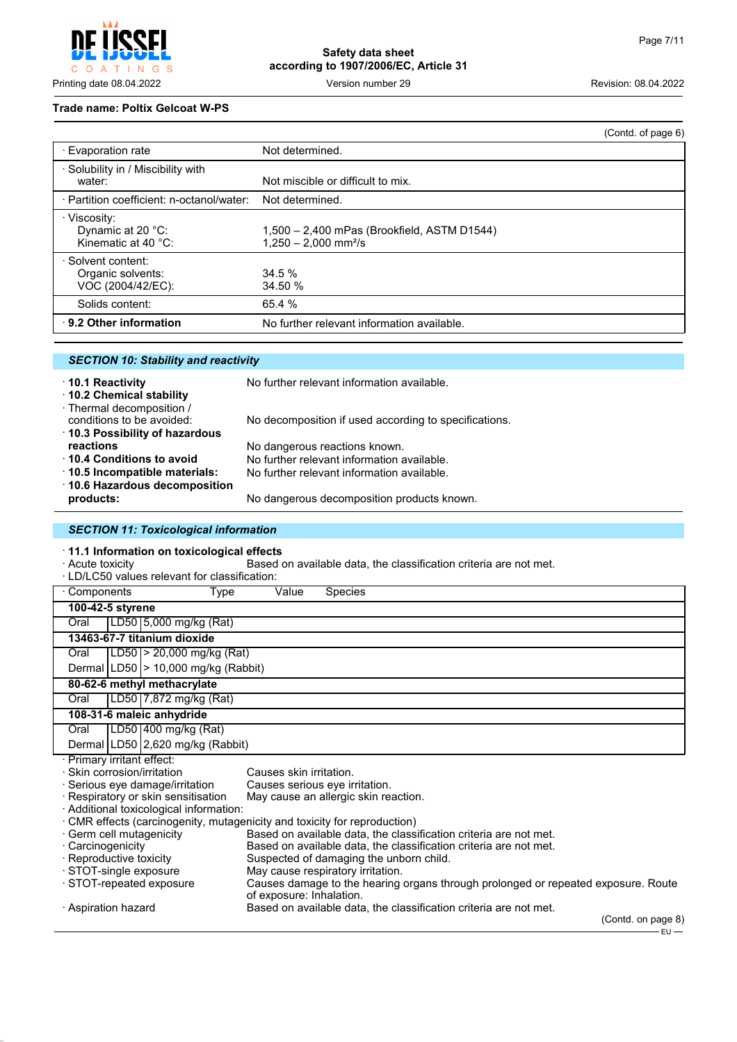$\mathsf{C}$ O A T I N G S

# **Safety data sheet according to 1907/2006/EC, Article 31**

Printing date 08.04.2022 **Version number 29** Version number 29 Revision: 08.04.2022

#### **Trade name: Poltix Gelcoat W-PS**

|                                                              |                                                                                   | (Contd. of page 6) |
|--------------------------------------------------------------|-----------------------------------------------------------------------------------|--------------------|
| ⋅ Evaporation rate                                           | Not determined.                                                                   |                    |
| · Solubility in / Miscibility with<br>water:                 | Not miscible or difficult to mix.                                                 |                    |
| · Partition coefficient: n-octanol/water:                    | Not determined.                                                                   |                    |
| · Viscosity:<br>Dynamic at 20 °C:<br>Kinematic at 40 $°C$ :  | 1,500 - 2,400 mPas (Brookfield, ASTM D1544)<br>$1.250 - 2.000$ mm <sup>2</sup> /s |                    |
| · Solvent content:<br>Organic solvents:<br>VOC (2004/42/EC): | 34.5%<br>34.50 %                                                                  |                    |
| Solids content:                                              | 65.4 %                                                                            |                    |
| ⋅ 9.2 Other information                                      | No further relevant information available.                                        |                    |

|  |  | <b>SECTION 10: Stability and reactivity</b> |  |
|--|--|---------------------------------------------|--|
|--|--|---------------------------------------------|--|

| 10.1 Reactivity<br>10.2 Chemical stability             | No further relevant information available.            |
|--------------------------------------------------------|-------------------------------------------------------|
| · Thermal decomposition /<br>conditions to be avoided: | No decomposition if used according to specifications. |
| 10.3 Possibility of hazardous                          |                                                       |
| reactions                                              | No dangerous reactions known.                         |
| ⋅ 10.4 Conditions to avoid                             | No further relevant information available.            |
| 10.5 Incompatible materials:                           | No further relevant information available.            |
| ⋅ 10.6 Hazardous decomposition                         |                                                       |
| products:                                              | No dangerous decomposition products known.            |
|                                                        |                                                       |

## *SECTION 11: Toxicological information*

· **11.1 Information on toxicological effects**

Based on available data, the classification criteria are not met.

| · LD/LC50 values relevant for classification:                           |                          |                                                                                   |
|-------------------------------------------------------------------------|--------------------------|-----------------------------------------------------------------------------------|
| Components<br>Type                                                      | Value                    | <b>Species</b>                                                                    |
| 100-42-5 styrene                                                        |                          |                                                                                   |
| LD50 5,000 mg/kg (Rat)<br>Oral                                          |                          |                                                                                   |
| 13463-67-7 titanium dioxide                                             |                          |                                                                                   |
| LD50  > 20,000 mg/kg (Rat)<br>Oral                                      |                          |                                                                                   |
| Dermal $ LD50  > 10,000$ mg/kg (Rabbit)                                 |                          |                                                                                   |
| 80-62-6 methyl methacrylate                                             |                          |                                                                                   |
| LD50 7,872 mg/kg (Rat)<br>Oral                                          |                          |                                                                                   |
| 108-31-6 maleic anhydride                                               |                          |                                                                                   |
| LD50 400 mg/kg (Rat)<br>Oral                                            |                          |                                                                                   |
| Dermal LD50 2,620 mg/kg (Rabbit)                                        |                          |                                                                                   |
| · Primary irritant effect:                                              |                          |                                                                                   |
| · Skin corrosion/irritation                                             | Causes skin irritation.  |                                                                                   |
| · Serious eye damage/irritation                                         |                          | Causes serious eye irritation.                                                    |
| · Respiratory or skin sensitisation                                     |                          | May cause an allergic skin reaction.                                              |
| · Additional toxicological information:                                 |                          |                                                                                   |
| CMR effects (carcinogenity, mutagenicity and toxicity for reproduction) |                          |                                                                                   |
| · Germ cell mutagenicity                                                |                          | Based on available data, the classification criteria are not met.                 |
| · Carcinogenicity                                                       |                          | Based on available data, the classification criteria are not met.                 |
| · Reproductive toxicity                                                 |                          | Suspected of damaging the unborn child.                                           |
| · STOT-single exposure                                                  |                          | May cause respiratory irritation.                                                 |
| STOT-repeated exposure                                                  | of exposure: Inhalation. | Causes damage to the hearing organs through prolonged or repeated exposure. Route |
| · Aspiration hazard                                                     |                          | Based on available data, the classification criteria are not met.                 |
|                                                                         |                          | (Contd. on page 8)<br>– EU —                                                      |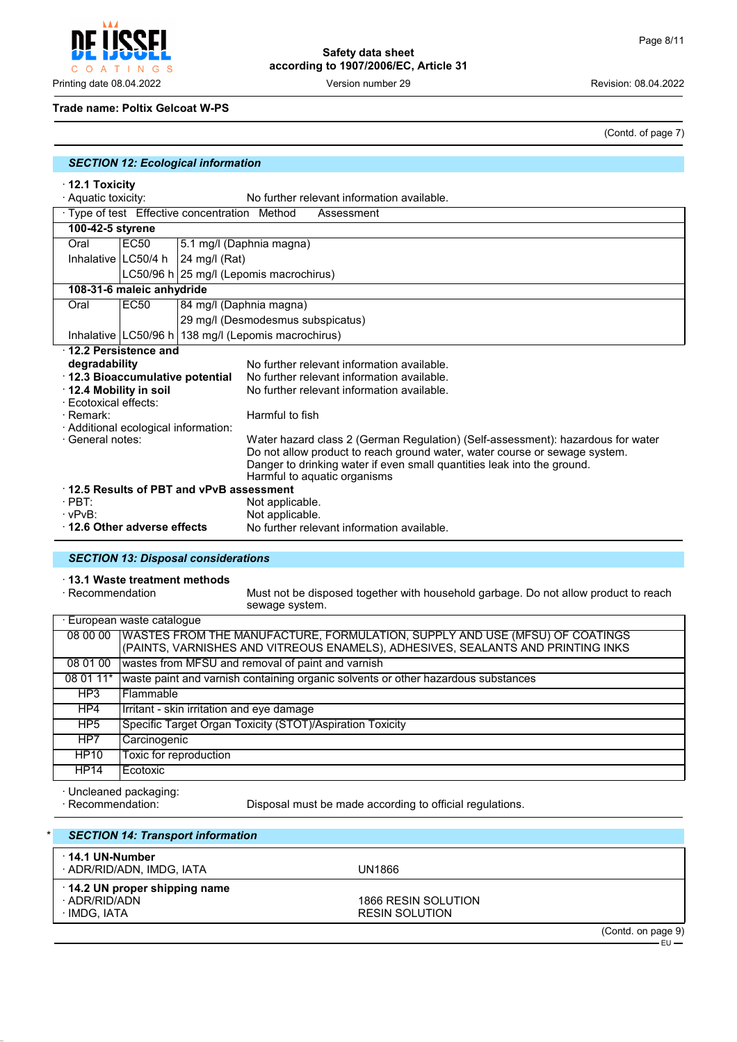Printing date 08.04.2022 Version number 29 Revision: 08.04.2022

#### **Trade name: Poltix Gelcoat W-PS**

O A T I N G S

(Contd. of page 7)

| <b>SECTION 12: Ecological information</b> |  |  |  |
|-------------------------------------------|--|--|--|
|-------------------------------------------|--|--|--|

· **12.1 Toxicity**

 $\mathsf{C}$ 

|                                             | No further relevant information available.<br>· Aquatic toxicity: |               |                                                                                 |  |  |
|---------------------------------------------|-------------------------------------------------------------------|---------------|---------------------------------------------------------------------------------|--|--|
|                                             | · Type of test Effective concentration Method<br>Assessment       |               |                                                                                 |  |  |
| 100-42-5 styrene                            |                                                                   |               |                                                                                 |  |  |
| Oral                                        | EC <sub>50</sub>                                                  |               | 5.1 mg/l (Daphnia magna)                                                        |  |  |
|                                             | Inhalative   LC50/4 h                                             | 24 mg/l (Rat) |                                                                                 |  |  |
|                                             |                                                                   |               | LC50/96 h 25 mg/l (Lepomis macrochirus)                                         |  |  |
|                                             | 108-31-6 maleic anhydride                                         |               |                                                                                 |  |  |
| Oral                                        | <b>EC50</b>                                                       |               | 84 mg/l (Daphnia magna)                                                         |  |  |
|                                             |                                                                   |               | 29 mg/l (Desmodesmus subspicatus)                                               |  |  |
|                                             |                                                                   |               | Inhalative   LC50/96 h   138 mg/l (Lepomis macrochirus)                         |  |  |
|                                             | 12.2 Persistence and                                              |               |                                                                                 |  |  |
| degradability                               |                                                                   |               | No further relevant information available.                                      |  |  |
| 12.3 Bioaccumulative potential              |                                                                   |               | No further relevant information available.                                      |  |  |
| 12.4 Mobility in soil                       |                                                                   |               | No further relevant information available.                                      |  |  |
| · Ecotoxical effects:                       |                                                                   |               |                                                                                 |  |  |
| · Remark:                                   |                                                                   |               | Harmful to fish                                                                 |  |  |
| · Additional ecological information:        |                                                                   |               |                                                                                 |  |  |
| · General notes:                            |                                                                   |               | Water hazard class 2 (German Regulation) (Self-assessment): hazardous for water |  |  |
|                                             |                                                                   |               | Do not allow product to reach ground water, water course or sewage system.      |  |  |
|                                             |                                                                   |               | Danger to drinking water if even small quantities leak into the ground.         |  |  |
| 12.5 Results of PBT and vPvB assessment     |                                                                   |               | Harmful to aquatic organisms                                                    |  |  |
|                                             |                                                                   |               |                                                                                 |  |  |
| $\cdot$ PBT:                                |                                                                   |               | Not applicable.                                                                 |  |  |
| $\cdot$ vPvB:<br>12.6 Other adverse effects |                                                                   |               | Not applicable.<br>No further relevant information available.                   |  |  |
|                                             |                                                                   |               |                                                                                 |  |  |

## *SECTION 13: Disposal considerations*

# · **13.1 Waste treatment methods**

Must not be disposed together with household garbage. Do not allow product to reach sewage system.

|                 | · European waste catalogue                                                                                                                                     |  |  |
|-----------------|----------------------------------------------------------------------------------------------------------------------------------------------------------------|--|--|
| 08 00 00        | WASTES FROM THE MANUFACTURE, FORMULATION, SUPPLY AND USE (MFSU) OF COATINGS<br>(PAINTS, VARNISHES AND VITREOUS ENAMELS), ADHESIVES, SEALANTS AND PRINTING INKS |  |  |
|                 |                                                                                                                                                                |  |  |
| 08 01 00        | wastes from MFSU and removal of paint and varnish                                                                                                              |  |  |
| 08 01 11*       | waste paint and varnish containing organic solvents or other hazardous substances                                                                              |  |  |
| HP3             | Flammable                                                                                                                                                      |  |  |
| HP4             | Irritant - skin irritation and eye damage                                                                                                                      |  |  |
| HP <sub>5</sub> | Specific Target Organ Toxicity (STOT)/Aspiration Toxicity                                                                                                      |  |  |
| HP7             | Carcinogenic                                                                                                                                                   |  |  |
| <b>HP10</b>     | Toxic for reproduction                                                                                                                                         |  |  |
| <b>HP14</b>     | Ecotoxic                                                                                                                                                       |  |  |

· Uncleaned packaging:

Disposal must be made according to official regulations.

| <b>SECTION 14: Transport information</b> |                                                               |                                              |                |
|------------------------------------------|---------------------------------------------------------------|----------------------------------------------|----------------|
|                                          | $\cdot$ 14.1 UN-Number<br>· ADR/RID/ADN, IMDG, IATA           | UN1866                                       |                |
|                                          | 14.2 UN proper shipping name<br>· ADR/RID/ADN<br>· IMDG. IATA | 1866 RESIN SOLUTION<br><b>RESIN SOLUTION</b> |                |
|                                          |                                                               |                                              | (Contdonnone0) |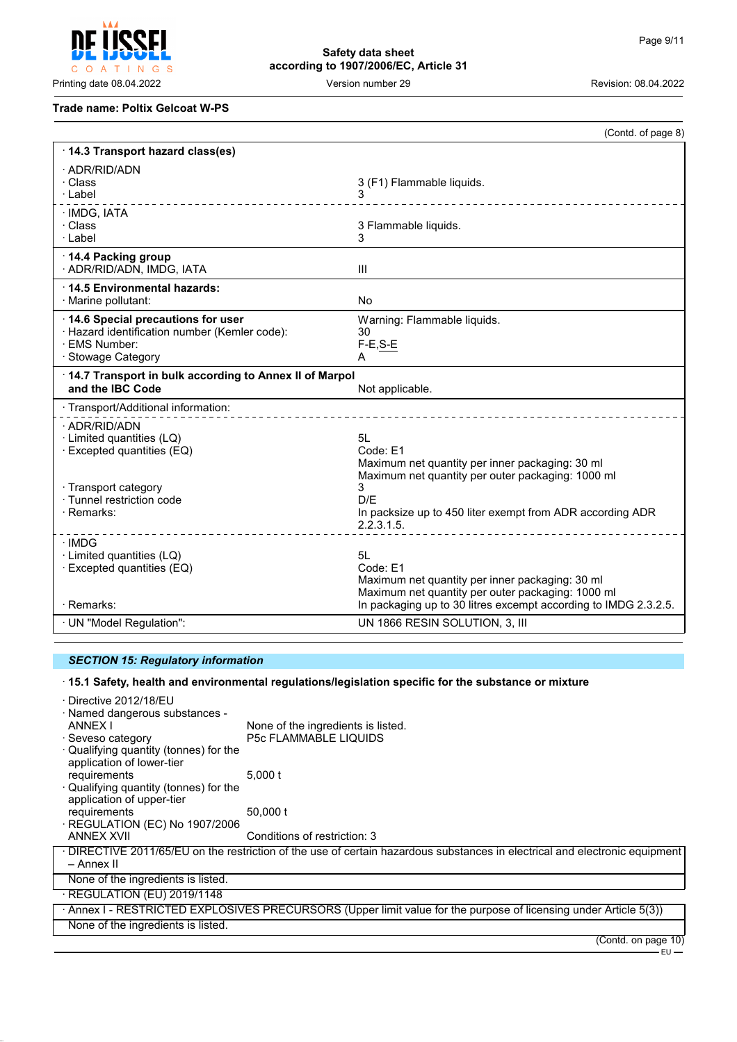$\mathsf{C}$ O A T I N G S

# **Safety data sheet according to 1907/2006/EC, Article 31**

Printing date 08.04.2022 **Version number 29** Version number 29 Revision: 08.04.2022

## **Trade name: Poltix Gelcoat W-PS**

|                                                                                                                           | (Contd. of page 8)                                                                                                                                                                        |
|---------------------------------------------------------------------------------------------------------------------------|-------------------------------------------------------------------------------------------------------------------------------------------------------------------------------------------|
| 14.3 Transport hazard class(es)                                                                                           |                                                                                                                                                                                           |
| · ADR/RID/ADN<br>· Class<br>· Label                                                                                       | 3 (F1) Flammable liquids.<br>3                                                                                                                                                            |
| · IMDG, IATA<br>· Class<br>· Label                                                                                        | 3 Flammable liquids.<br>3                                                                                                                                                                 |
| ⋅14.4 Packing group<br>· ADR/RID/ADN, IMDG, IATA                                                                          | III                                                                                                                                                                                       |
| ⋅14.5 Environmental hazards:<br>· Marine pollutant:                                                                       | <b>No</b>                                                                                                                                                                                 |
| 14.6 Special precautions for user<br>· Hazard identification number (Kemler code):<br>· FMS Number:<br>· Stowage Category | Warning: Flammable liquids.<br>30<br>$F-E, S-E$<br>A                                                                                                                                      |
| 14.7 Transport in bulk according to Annex II of Marpol<br>and the IBC Code                                                | Not applicable.                                                                                                                                                                           |
| · Transport/Additional information:                                                                                       |                                                                                                                                                                                           |
| · ADR/RID/ADN<br>· Limited quantities (LQ)<br>· Excepted quantities (EQ)                                                  | 51 I<br>Code: E1<br>Maximum net quantity per inner packaging: 30 ml<br>Maximum net quantity per outer packaging: 1000 ml                                                                  |
| · Transport category<br>· Tunnel restriction code<br>· Remarks:                                                           | 3<br>D/F<br>In packsize up to 450 liter exempt from ADR according ADR<br>2.2.3.1.5.                                                                                                       |
| · IMDG<br>· Limited quantities (LQ)<br>$\cdot$ Excepted quantities (EQ)<br>· Remarks:                                     | 5L<br>Code: E1<br>Maximum net quantity per inner packaging: 30 ml<br>Maximum net quantity per outer packaging: 1000 ml<br>In packaging up to 30 litres excempt according to IMDG 2.3.2.5. |
| · UN "Model Regulation":                                                                                                  | UN 1866 RESIN SOLUTION, 3, III                                                                                                                                                            |

# *SECTION 15: Regulatory information*

## · **15.1 Safety, health and environmental regulations/legislation specific for the substance or mixture**

| · Directive 2012/18/EU<br>· Named dangerous substances -            |                                                                                                                             |
|---------------------------------------------------------------------|-----------------------------------------------------------------------------------------------------------------------------|
| ANNEX I                                                             | None of the ingredients is listed.                                                                                          |
| · Seveso category                                                   | <b>P5c FLAMMABLE LIQUIDS</b>                                                                                                |
| · Qualifying quantity (tonnes) for the                              |                                                                                                                             |
| application of lower-tier                                           |                                                                                                                             |
| requirements                                                        | 5.000 t                                                                                                                     |
| · Qualifying quantity (tonnes) for the<br>application of upper-tier |                                                                                                                             |
| requirements                                                        | 50,000 t                                                                                                                    |
| $\cdot$ REGULATION (EC) No 1907/2006                                |                                                                                                                             |
| <b>ANNEX XVII</b>                                                   | Conditions of restriction: 3                                                                                                |
|                                                                     | · DIRECTIVE 2011/65/EU on the restriction of the use of certain hazardous substances in electrical and electronic equipment |
| – Annex II                                                          |                                                                                                                             |
| None of the ingredients is listed.                                  |                                                                                                                             |
| $\cdot$ REGULATION (EU) 2019/1148                                   |                                                                                                                             |
|                                                                     | · Annex I - RESTRICTED EXPLOSIVES PRECURSORS (Upper limit value for the purpose of licensing under Article 5(3))            |
| None of the ingredients is listed.                                  |                                                                                                                             |
|                                                                     | (Contd. on page 10)                                                                                                         |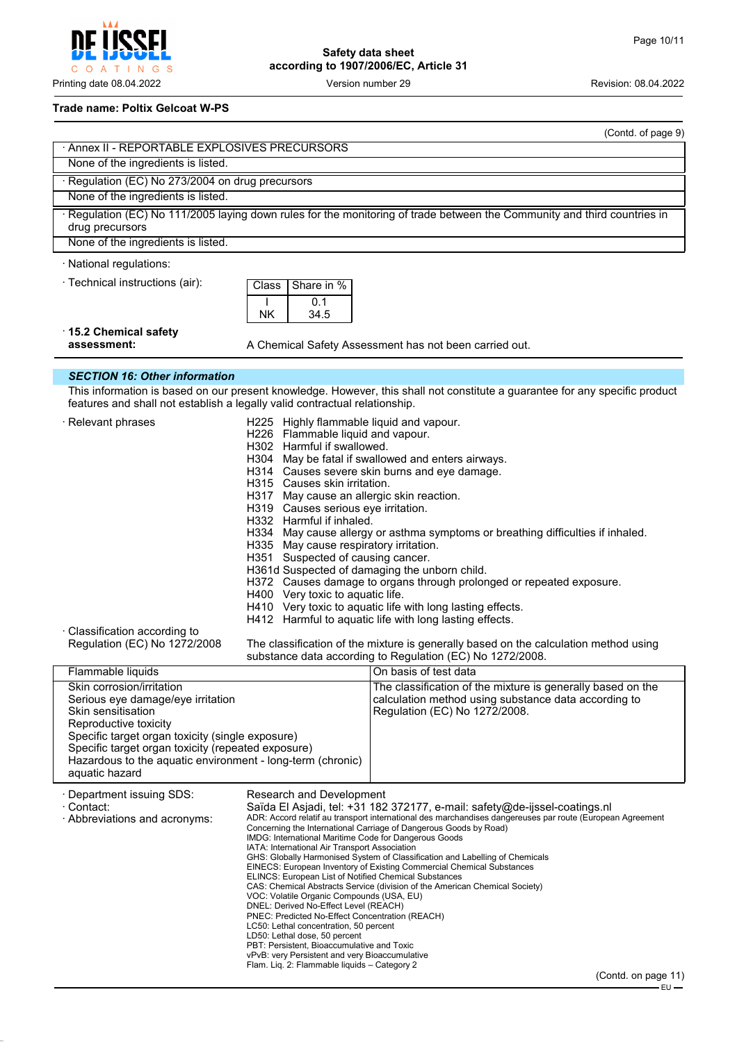

#### **Trade name: Poltix Gelcoat W-PS**

| (Contd. of page 9)                                                                                                                                                                                                                                                                                      |                                                                                                                                                                                                                                                                                                                                                                                                                                                                                                                                                                                                                                                                                                                                                                                                                                                                                                                                                                                                                                                                         |                                                                                                                                                      |
|---------------------------------------------------------------------------------------------------------------------------------------------------------------------------------------------------------------------------------------------------------------------------------------------------------|-------------------------------------------------------------------------------------------------------------------------------------------------------------------------------------------------------------------------------------------------------------------------------------------------------------------------------------------------------------------------------------------------------------------------------------------------------------------------------------------------------------------------------------------------------------------------------------------------------------------------------------------------------------------------------------------------------------------------------------------------------------------------------------------------------------------------------------------------------------------------------------------------------------------------------------------------------------------------------------------------------------------------------------------------------------------------|------------------------------------------------------------------------------------------------------------------------------------------------------|
| Annex II - REPORTABLE EXPLOSIVES PRECURSORS                                                                                                                                                                                                                                                             |                                                                                                                                                                                                                                                                                                                                                                                                                                                                                                                                                                                                                                                                                                                                                                                                                                                                                                                                                                                                                                                                         |                                                                                                                                                      |
| None of the ingredients is listed.                                                                                                                                                                                                                                                                      |                                                                                                                                                                                                                                                                                                                                                                                                                                                                                                                                                                                                                                                                                                                                                                                                                                                                                                                                                                                                                                                                         |                                                                                                                                                      |
| · Regulation (EC) No 273/2004 on drug precursors                                                                                                                                                                                                                                                        |                                                                                                                                                                                                                                                                                                                                                                                                                                                                                                                                                                                                                                                                                                                                                                                                                                                                                                                                                                                                                                                                         |                                                                                                                                                      |
| None of the ingredients is listed.                                                                                                                                                                                                                                                                      |                                                                                                                                                                                                                                                                                                                                                                                                                                                                                                                                                                                                                                                                                                                                                                                                                                                                                                                                                                                                                                                                         |                                                                                                                                                      |
| drug precursors                                                                                                                                                                                                                                                                                         |                                                                                                                                                                                                                                                                                                                                                                                                                                                                                                                                                                                                                                                                                                                                                                                                                                                                                                                                                                                                                                                                         | · Regulation (EC) No 111/2005 laying down rules for the monitoring of trade between the Community and third countries in                             |
| None of the ingredients is listed.                                                                                                                                                                                                                                                                      |                                                                                                                                                                                                                                                                                                                                                                                                                                                                                                                                                                                                                                                                                                                                                                                                                                                                                                                                                                                                                                                                         |                                                                                                                                                      |
| · National regulations:                                                                                                                                                                                                                                                                                 |                                                                                                                                                                                                                                                                                                                                                                                                                                                                                                                                                                                                                                                                                                                                                                                                                                                                                                                                                                                                                                                                         |                                                                                                                                                      |
| · Technical instructions (air):                                                                                                                                                                                                                                                                         | Share in %<br>Class<br>0.1<br>34.5<br>NΚ                                                                                                                                                                                                                                                                                                                                                                                                                                                                                                                                                                                                                                                                                                                                                                                                                                                                                                                                                                                                                                |                                                                                                                                                      |
| $\cdot$ 15.2 Chemical safety<br>assessment:                                                                                                                                                                                                                                                             |                                                                                                                                                                                                                                                                                                                                                                                                                                                                                                                                                                                                                                                                                                                                                                                                                                                                                                                                                                                                                                                                         | A Chemical Safety Assessment has not been carried out.                                                                                               |
| <b>SECTION 16: Other information</b>                                                                                                                                                                                                                                                                    |                                                                                                                                                                                                                                                                                                                                                                                                                                                                                                                                                                                                                                                                                                                                                                                                                                                                                                                                                                                                                                                                         |                                                                                                                                                      |
|                                                                                                                                                                                                                                                                                                         |                                                                                                                                                                                                                                                                                                                                                                                                                                                                                                                                                                                                                                                                                                                                                                                                                                                                                                                                                                                                                                                                         | This information is based on our present knowledge. However, this shall not constitute a guarantee for any specific product                          |
| features and shall not establish a legally valid contractual relationship.                                                                                                                                                                                                                              |                                                                                                                                                                                                                                                                                                                                                                                                                                                                                                                                                                                                                                                                                                                                                                                                                                                                                                                                                                                                                                                                         |                                                                                                                                                      |
| · Relevant phrases                                                                                                                                                                                                                                                                                      | H225 Highly flammable liquid and vapour.<br>H226 Flammable liquid and vapour.<br>H302 Harmful if swallowed.<br>H304 May be fatal if swallowed and enters airways.<br>H314 Causes severe skin burns and eye damage.<br>H315 Causes skin irritation.<br>H317 May cause an allergic skin reaction.<br>H319 Causes serious eye irritation.<br>H332 Harmful if inhaled.<br>H334 May cause allergy or asthma symptoms or breathing difficulties if inhaled.<br>H335 May cause respiratory irritation.<br>H351 Suspected of causing cancer.<br>H361d Suspected of damaging the unborn child.<br>H372 Causes damage to organs through prolonged or repeated exposure.<br>H400 Very toxic to aquatic life.<br>H410 Very toxic to aquatic life with long lasting effects.<br>H412 Harmful to aquatic life with long lasting effects.<br>The classification of the mixture is generally based on the calculation method using<br>substance data according to Regulation (EC) No 1272/2008.                                                                                         |                                                                                                                                                      |
| · Classification according to<br>Regulation (EC) No 1272/2008                                                                                                                                                                                                                                           |                                                                                                                                                                                                                                                                                                                                                                                                                                                                                                                                                                                                                                                                                                                                                                                                                                                                                                                                                                                                                                                                         |                                                                                                                                                      |
| Flammable liquids                                                                                                                                                                                                                                                                                       |                                                                                                                                                                                                                                                                                                                                                                                                                                                                                                                                                                                                                                                                                                                                                                                                                                                                                                                                                                                                                                                                         | On basis of test data                                                                                                                                |
| Skin corrosion/irritation<br>Serious eye damage/eye irritation<br>Skin sensitisation<br>Reproductive toxicity<br>Specific target organ toxicity (single exposure)<br>Specific target organ toxicity (repeated exposure)<br>Hazardous to the aquatic environment - long-term (chronic)<br>aquatic hazard |                                                                                                                                                                                                                                                                                                                                                                                                                                                                                                                                                                                                                                                                                                                                                                                                                                                                                                                                                                                                                                                                         | The classification of the mixture is generally based on the<br>calculation method using substance data according to<br>Regulation (EC) No 1272/2008. |
| · Department issuing SDS:<br>· Contact:<br>· Abbreviations and acronyms:                                                                                                                                                                                                                                | Research and Development<br>Saïda El Asjadi, tel: +31 182 372177, e-mail: safety@de-ijssel-coatings.nl<br>ADR: Accord relatif au transport international des marchandises dangereuses par route (European Agreement<br>Concerning the International Carriage of Dangerous Goods by Road)<br>IMDG: International Maritime Code for Dangerous Goods<br>IATA: International Air Transport Association<br>GHS: Globally Harmonised System of Classification and Labelling of Chemicals<br>EINECS: European Inventory of Existing Commercial Chemical Substances<br>ELINCS: European List of Notified Chemical Substances<br>CAS: Chemical Abstracts Service (division of the American Chemical Society)<br>VOC: Volatile Organic Compounds (USA, EU)<br>DNEL: Derived No-Effect Level (REACH)<br>PNEC: Predicted No-Effect Concentration (REACH)<br>LC50: Lethal concentration, 50 percent<br>LD50: Lethal dose, 50 percent<br>PBT: Persistent, Bioaccumulative and Toxic<br>vPvB: very Persistent and very Bioaccumulative<br>Flam. Liq. 2: Flammable liquids - Category 2 |                                                                                                                                                      |